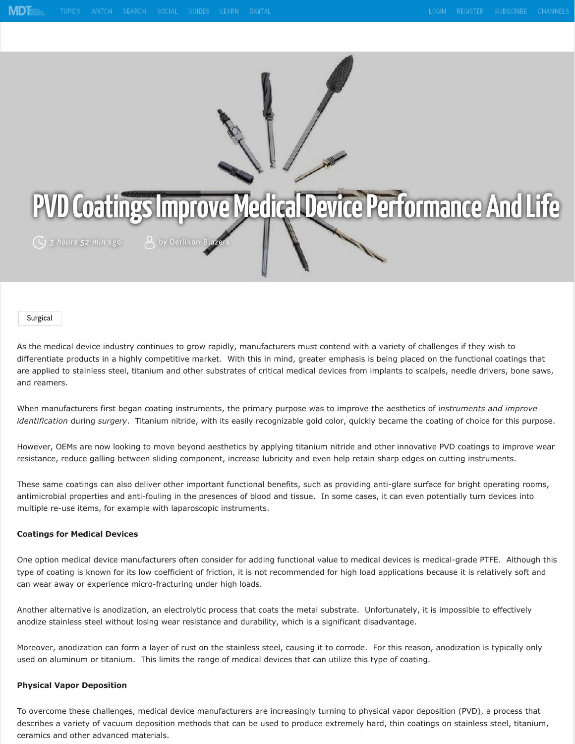

 $(\zeta)$  3 hours 52 min ago  $\qquad \qquad \beta$  by Oerlikon Blaze

#### [Surgical](https://www.mdtmag.com/topics/surgical)

As the medical device industry continues to grow rapidly, manufacturers must contend with a variety of challenges if they wish to differentiate products in a highly competitive market. With this in mind, greater emphasis is being placed on the functional coatings that are applied to stainless steel, titanium and other substrates of critical medical devices from implants to scalpels, needle drivers, bone saws, and reamers.

When manufacturers first began coating instruments, the primary purpose was to improve the aesthetics of i*nstruments and improve identification* during *surgery*. Titanium nitride, with its easily recognizable gold color, quickly became the coating of choice for this purpose.

However, OEMs are now looking to move beyond aesthetics by applying titanium nitride and other innovative PVD coatings to improve wear resistance, reduce galling between sliding component, increase lubricity and even help retain sharp edges on cutting instruments.

These same coatings can also deliver other important functional benefits, such as providing anti-glare surface for bright operating rooms, antimicrobial properties and anti-fouling in the presences of blood and tissue. In some cases, it can even potentially turn devices into multiple re-use items, for example with laparoscopic instruments.

### **Coatings for Medical Devices**

One option medical device manufacturers often consider for adding functional value to medical devices is medical-grade PTFE. Although this type of coating is known for its low coefficient of friction, it is not recommended for high load applications because it is relatively soft and can wear away or experience micro-fracturing under high loads.

Another alternative is anodization, an electrolytic process that coats the metal substrate. Unfortunately, it is impossible to effectively anodize stainless steel without losing wear resistance and durability, which is a significant disadvantage.

Moreover, anodization can form a layer of rust on the stainless steel, causing it to corrode. For this reason, anodization is typically only used on aluminum or titanium. This limits the range of medical devices that can utilize this type of coating.

## **Physical Vapor Deposition**

To overcome these challenges, medical device manufacturers are increasingly turning to physical vapor deposition (PVD), a process that describes a variety of vacuum deposition methods that can be used to produce extremely hard, thin coatings on stainless steel, titanium, ceramics and other advanced materials.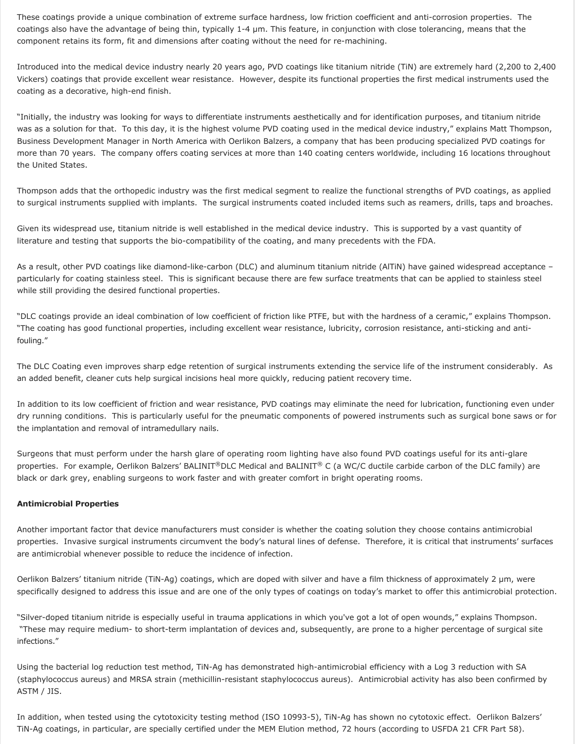These coatings provide a unique combination of extreme surface hardness, low friction coefficient and anti-corrosion properties. The coatings also have the advantage of being thin, typically 1-4 μm. This feature, in conjunction with close tolerancing, means that the component retains its form, fit and dimensions after coating without the need for re-machining.

Introduced into the medical device industry nearly 20 years ago, PVD coatings like titanium nitride (TiN) are extremely hard (2,200 to 2,400 Vickers) coatings that provide excellent wear resistance. However, despite its functional properties the first medical instruments used the coating as a decorative, high-end finish.

"Initially, the industry was looking for ways to differentiate instruments aesthetically and for identification purposes, and titanium nitride was as a solution for that. To this day, it is the highest volume PVD coating used in the medical device industry," explains Matt Thompson, Business Development Manager in North America with Oerlikon Balzers, a company that has been producing specialized PVD coatings for more than 70 years. The company offers coating services at more than 140 coating centers worldwide, including 16 locations throughout the United States.

Thompson adds that the orthopedic industry was the first medical segment to realize the functional strengths of PVD coatings, as applied to surgical instruments supplied with implants. The surgical instruments coated included items such as reamers, drills, taps and broaches.

Given its widespread use, titanium nitride is well established in the medical device industry. This is supported by a vast quantity of literature and testing that supports the bio-compatibility of the coating, and many precedents with the FDA.

As a result, other PVD coatings like diamond-like-carbon (DLC) and aluminum titanium nitride (AlTiN) have gained widespread acceptance – particularly for coating stainless steel. This is significant because there are few surface treatments that can be applied to stainless steel while still providing the desired functional properties.

"DLC coatings provide an ideal combination of low coefficient of friction like PTFE, but with the hardness of a ceramic," explains Thompson. "The coating has good functional properties, including excellent wear resistance, lubricity, corrosion resistance, anti-sticking and antifouling."

The DLC Coating even improves sharp edge retention of surgical instruments extending the service life of the instrument considerably. As an added benefit, cleaner cuts help surgical incisions heal more quickly, reducing patient recovery time.

In addition to its low coefficient of friction and wear resistance, PVD coatings may eliminate the need for lubrication, functioning even under dry running conditions. This is particularly useful for the pneumatic components of powered instruments such as surgical bone saws or for the implantation and removal of intramedullary nails.

Surgeons that must perform under the harsh glare of operating room lighting have also found PVD coatings useful for its anti-glare properties. For example, Oerlikon Balzers' BALINIT®DLC Medical and BALINIT® C (a WC/C ductile carbide carbon of the DLC family) are black or dark grey, enabling surgeons to work faster and with greater comfort in bright operating rooms.

### **Antimicrobial Properties**

Another important factor that device manufacturers must consider is whether the coating solution they choose contains antimicrobial properties. Invasive surgical instruments circumvent the body's natural lines of defense. Therefore, it is critical that instruments' surfaces are antimicrobial whenever possible to reduce the incidence of infection.

Oerlikon Balzers' titanium nitride (TiN-Ag) coatings, which are doped with silver and have a film thickness of approximately 2 μm, were specifically designed to address this issue and are one of the only types of coatings on today's market to offer this antimicrobial protection.

"Silver-doped titanium nitride is especially useful in trauma applications in which you've got a lot of open wounds," explains Thompson. "These may require medium- to short-term implantation of devices and, subsequently, are prone to a higher percentage of surgical site infections."

Using the bacterial log reduction test method, TiN-Ag has demonstrated high-antimicrobial efficiency with a Log 3 reduction with SA (staphylococcus aureus) and MRSA strain (methicillin-resistant staphylococcus aureus). Antimicrobial activity has also been confirmed by ASTM / JIS.

In addition, when tested using the cytotoxicity testing method (ISO 10993-5), TiN-Ag has shown no cytotoxic effect. Oerlikon Balzers' TiN-Ag coatings, in particular, are specially certified under the MEM Elution method, 72 hours (according to USFDA 21 CFR Part 58).